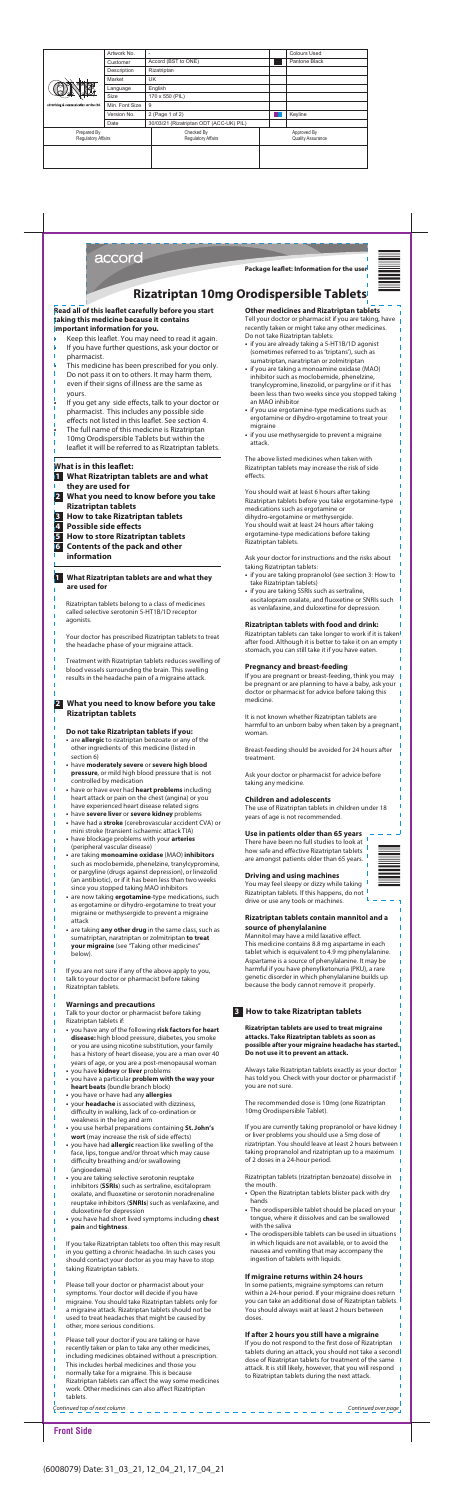

#### **Read all of this leaflet carefully before you start taking this medicine because it contains important information for you.**

- Keep this leaflet. You may need to read it again.
- If you have further questions, ask your doctor or pharmacist.
- This medicine has been prescribed for you only.
- Do not pass it on to others. It may harm them, even if their signs of illness are the same as yours.
- If you get any side effects, talk to your doctor or pharmacist. This includes any possible side
- effects not listed in this leaflet. See section 4.
- The full name of this medicine is Rizatriptan
- 10mg Orodispersible Tablets but within the leaflet it will be referred to as Rizatriptan tablets.

# **What is in this leaflet:**

- **1 What Rizatriptan tablets are and what they are used for**
- **2 What you need to know before you take Rizatriptan tablets**
- **3 How to take Rizatriptan tablets**
- **Possible side effects**
- **5 How to store Rizatriptan tablets**
- **6 Contents of the pack and other information**

#### **1 What Rizatriptan tablets are and what they are used for**

Rizatriptan tablets belong to a class of medicines called selective serotonin 5-HT1B/1D receptor agonists.

Your doctor has prescribed Rizatriptan tablets to treat the headache phase of your migraine attack.

Treatment with Rizatriptan tablets reduces swelling of blood vessels surrounding the brain. This swelling results in the headache pain of a migraine attack.

# **2 What you need to know before you take Rizatriptan tablets**

# **Do not take Rizatriptan tablets if you:**

- are **allergic** to rizatriptan benzoate or any of the other ingredients of this medicine (listed in section 6)
- have **moderately severe** or **severe high blood pressure**, or mild high blood pressure that is not controlled by medication
- have or have ever had **heart problems** including heart attack or pain on the chest (angina) or you have experienced heart disease related signs
- have **severe liver** or **severe kidney** problems
- have had a **stroke** (cerebrovascular accident CVA) or mini stroke (transient ischaemic attack TIA)
- have blockage problems with your **arteries**  (peripheral vascular disease)
- are taking **monoamine oxidase** (MAO) **inhibitors** such as moclobemide, phenelzine, tranylcypromine, or pargyline (drugs against depression), or linezolid (an antibiotic), or if it has been less than two weeks since you stopped taking MAO inhibitors
- are now taking **ergotamine**-type medications, such as ergotamine or dihydro-ergotamine to treat your migraine or methysergide to prevent a migraine

- attack
- are taking **any other drug** in the same class, such as sumatriptan, naratriptan or zolmitriptan **to treat your migraine** (see "Taking other medicines" below).

If you are not sure if any of the above apply to you, talk to your doctor or pharmacist before taking Rizatriptan tablets.

The above listed medicines when taken with Rizatriptan tablets may increase the risk of side effects.

#### **Warnings and precautions**

Talk to your doctor or pharmacist before taking Rizatriptan tablets if:

- you have any of the following **risk factors for heart disease:** high blood pressure, diabetes, you smoke or you are using nicotine substitution, your family has a history of heart disease, you are a man over 40 years of age, or you are a post-menopausal woman
- you have **kidney** or **liver** problems
- you have a particular **problem with the way your heart beats** (bundle branch block)
- you have or have had any **allergies**
- your **headache** is associated with dizziness, difficulty in walking, lack of co-ordination or weakness in the leg and arm
- you use herbal preparations containing **St. John's**  wort (may increase the risk of side effects)
- you have had **allergic** reaction like swelling of the face, lips, tongue and/or throat which may cause difficulty breathing and/or swallowing (angioedema)
- you are taking selective serotonin reuptake inhibitors (**SSRIs**) such as sertraline, escitalopram oxalate, and fluoxetine or serotonin noradrenaline reuptake inhibitors (**SNRIs**) such as venlafaxine, and duloxetine for depression
- you have had short lived symptoms including **chest pain** and **tightness**.

If you take Rizatriptan tablets too often this may result in you getting a chronic headache. In such cases you should contact your doctor as you may have to stop taking Rizatriptan tablets.

If you are currently taking propranolol or have kidney or liver problems you should use a 5mg dose of rizatriptan. You should leave at least 2 hours between taking propranolol and rizatriptan up to a maximum of 2 doses in a 24-hour period.

Please tell your doctor or pharmacist about your symptoms. Your doctor will decide if you have migraine. You should take Rizatriptan tablets only for a migraine attack. Rizatriptan tablets should not be used to treat headaches that might be caused by other, more serious conditions.

Please tell your doctor if you are taking or have recently taken or plan to take any other medicines, including medicines obtained without a prescription. This includes herbal medicines and those you normally take for a migraine. This is because Rizatriptan tablets can affect the way some medicines work. Other medicines can also affect Rizatriptan tablets.

If you do not respond to the first dose of Rizatriptan tablets during an attack, you should not take a secondl dose of Rizatriptan tablets for treatment of the same attack. It is still likely, however, that you will respond to Rizatriptan tablets during the next attack.

# **Other medicines and Rizatriptan tablets**

Tell your doctor or pharmacist if you are taking, have recently taken or might take any other medicines. Do not take Rizatriptan tablets:

- if you are already taking a 5-HT1B/1D agonist (sometimes referred to as 'triptans'), such as sumatriptan, naratriptan or zolmitriptan
- if you are taking a monoamine oxidase (MAO) inhibitor such as moclobemide, phenelzine, tranylcypromine, linezolid, or pargyline or if it has been less than two weeks since you stopped taking an MAO inhibitor
- if you use ergotamine-type medications such as ergotamine or dihydro-ergotamine to treat your migraine
- if you use methysergide to prevent a migraine attack.

You should wait at least 6 hours after taking Rizatriptan tablets before you take ergotamine-type medications such as ergotamine or dihydro-ergotamine or methysergide. You should wait at least 24 hours after taking ergotamine-type medications before taking Rizatriptan tablets.

Ask your doctor for instructions and the risks about taking Rizatriptan tablets:

- if you are taking propranolol (see section 3: How to take Rizatriptan tablets)
- if you are taking SSRIs such as sertraline, escitalopram oxalate, and fluoxetine or SNRIs such as venlafaxine, and duloxetine for depression.

# **Rizatriptan tablets with food and drink:**

Rizatriptan tablets can take longer to work if it is taken after food. Although it is better to take it on an empty stomach, you can still take it if you have eaten.

# **Pregnancy and breast-feeding**

If you are pregnant or breast-feeding, think you may be pregnant or are planning to have a baby, ask your doctor or pharmacist for advice before taking this medicine.

It is not known whether Rizatriptan tablets are harmful to an unborn baby when taken by a pregnant woman.

Breast-feeding should be avoided for 24 hours after treatment.

Ask your doctor or pharmacist for advice before taking any medicine.

# **Children and adolescents**

The use of Rizatriptan tablets in children under 18 years of age is not recommended.

# **Use in patients older than 65 years**

There have been no full studies to look at how safe and effective Rizatriptan tablets are amongst patients older than 65 years.

# **Driving and using machines**

You may feel sleepy or dizzy while taking Rizatriptan tablets. If this happens, do not drive or use any tools or machines.

#### **Rizatriptan tablets contain mannitol and a**

# **source of phenylalanine**

# Mannitol may have a mild laxative effect.

This medicine contains 8.8 mg aspartame in each tablet which is equivalent to 4.9 mg phenylalanine. Aspartame is a source of phenylalanine. It may be harmful if you have phenylketonuria (PKU), a rare genetic disorder in which phenylalanine builds up because the body cannot remove it properly.

# **3 How to take Rizatriptan tablets**

**Rizatriptan tablets are used to treat migraine attacks. Take Rizatriptan tablets as soon as possible after your migraine headache has started. Do not use it to prevent an attack.** 

Always take Rizatriptan tablets exactly as your doctor has told you. Check with your doctor or pharmacist if you are not sure.

The recommended dose is 10mg (one Rizatriptan 10mg Orodispersible Tablet).

Rizatriptan tablets (rizatriptan benzoate) dissolve in the mouth.

- Open the Rizatriptan tablets blister pack with dry hands
- The orodispersible tablet should be placed on your tongue, where it dissolves and can be swallowed with the saliva
- The orodispersible tablets can be used in situations in which liquids are not available, or to avoid the nausea and vomiting that may accompany the ingestion of tablets with liquids.

#### **If migraine returns within 24 hours**

In some patients, migraine symptoms can return within a 24-hour period. If your migraine does return you can take an additional dose of Rizatriptan tablets. You should always wait at least 2 hours between doses.

#### **If after 2 hours you still have a migraine**

# **Rizatriptan 10mg Orodispersible Tablets**